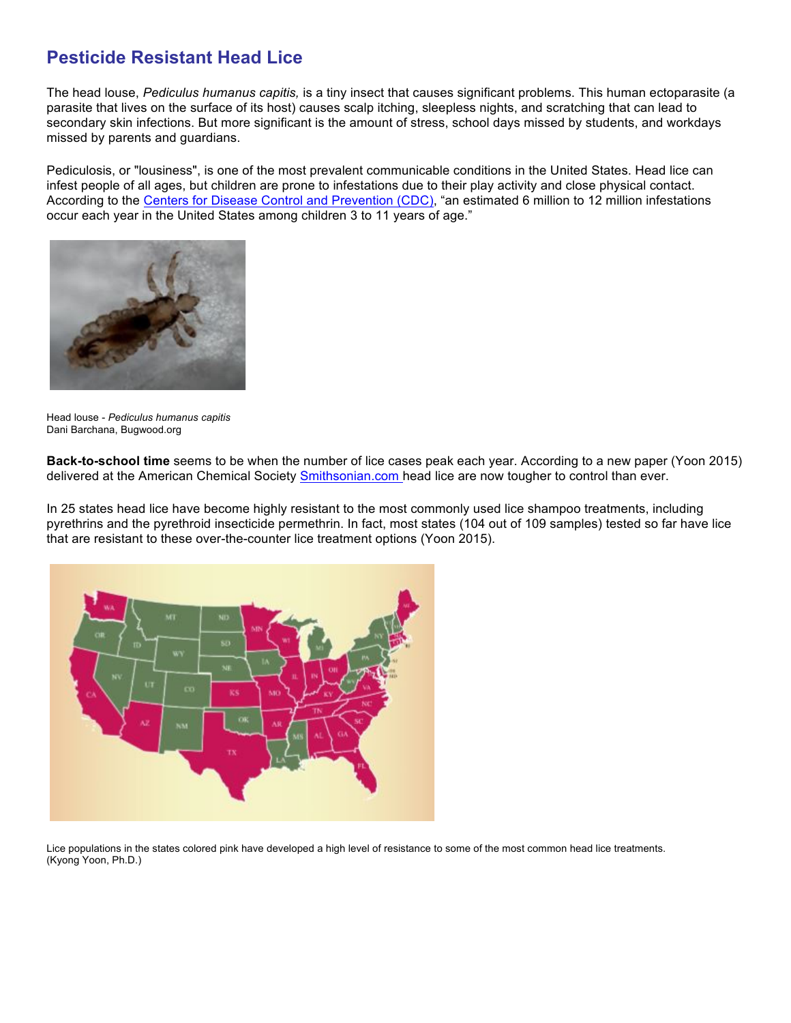## **Pesticide Resistant Head Lice**

The head louse, *Pediculus humanus capitis,* is a tiny insect that causes significant problems. This human ectoparasite (a parasite that lives on the surface of its host) causes scalp itching, sleepless nights, and scratching that can lead to secondary skin infections. But more significant is the amount of stress, school days missed by students, and workdays missed by parents and guardians.

Pediculosis, or "lousiness", is one of the most prevalent communicable conditions in the United States. Head lice can infest people of all ages, but children are prone to infestations due to their play activity and close physical contact. According to the Centers for Disease Control and Prevention (CDC), "an estimated 6 million to 12 million infestations occur each year in the United States among children 3 to 11 years of age."



Head louse - *Pediculus humanus capitis* Dani Barchana, Bugwood.org

**Back-to-school time** seems to be when the number of lice cases peak each year. According to a new paper (Yoon 2015) delivered at the American Chemical Society Smithsonian.com head lice are now tougher to control than ever.

In 25 states head lice have become highly resistant to the most commonly used lice shampoo treatments, including pyrethrins and the pyrethroid insecticide permethrin. In fact, most states (104 out of 109 samples) tested so far have lice that are resistant to these over-the-counter lice treatment options (Yoon 2015).



Lice populations in the states colored pink have developed a high level of resistance to some of the most common head lice treatments. (Kyong Yoon, Ph.D.)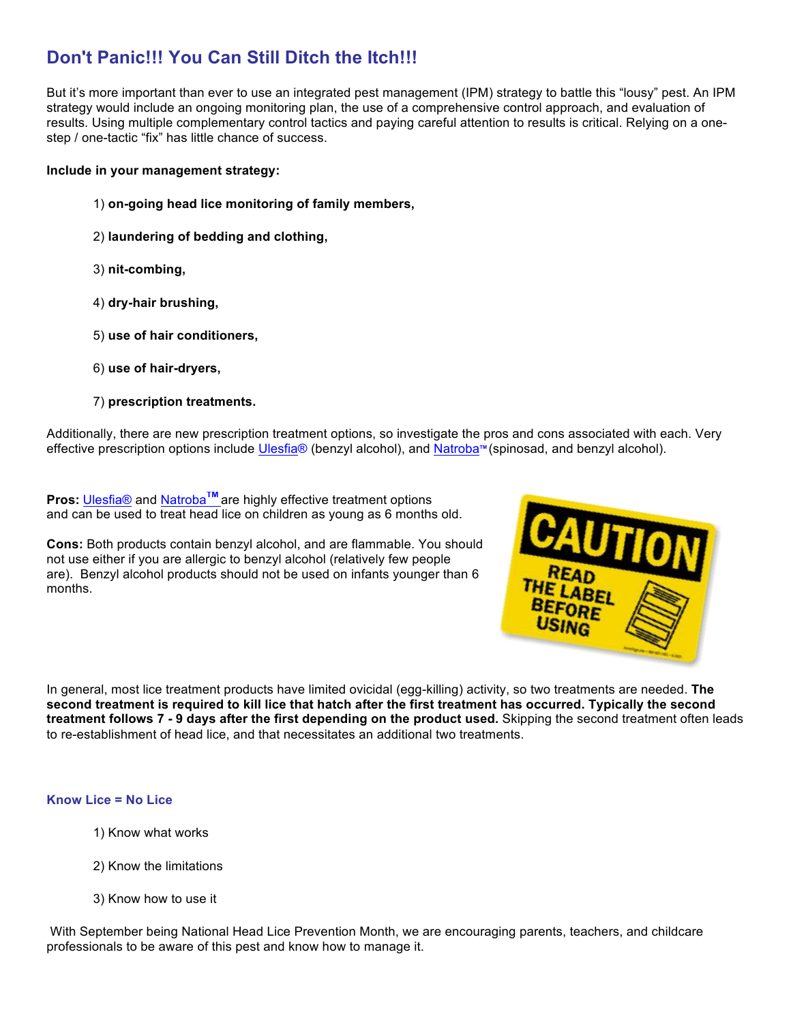# **Don't Panic!!! You Can Still Ditch the Itch!!!**

But it's more important than ever to use an integrated pest management (IPM) strategy to battle this "lousy" pest. An IPM strategy would include an ongoing monitoring plan, the use of a comprehensive control approach, and evaluation of results. Using multiple complementary control tactics and paying careful attention to results is critical. Relying on a onestep / one-tactic "fix" has little chance of success.

### **Include in your management strategy:**

- 1) **on-going head lice monitoring of family members,**
- 2) **laundering of bedding and clothing,**
- 3) **nit-combing,**
- 4) **dry-hair brushing,**
- 5) **use of hair conditioners,**
- 6) **use of hair-dryers,**
- 7) **prescription treatments.**

Additionally, there are new prescription treatment options, so investigate the pros and cons associated with each. Very effective prescription options include Ulesfia® (benzyl alcohol), and Natroba<sup>™</sup> (spinosad, and benzyl alcohol).

**Pros: Ulesfia® and Natroba<sup>™</sup> are highly effective treatment options** and can be used to treat head lice on children as young as 6 months old.

**Cons:** Both products contain benzyl alcohol, and are flammable. You should not use either if you are allergic to benzyl alcohol (relatively few people are). Benzyl alcohol products should not be used on infants younger than 6 months.



In general, most lice treatment products have limited ovicidal (egg-killing) activity, so two treatments are needed. **The second treatment is required to kill lice that hatch after the first treatment has occurred. Typically the second treatment follows 7 - 9 days after the first depending on the product used.** Skipping the second treatment often leads to re-establishment of head lice, and that necessitates an additional two treatments.

### **Know Lice = No Lice**

- 1) Know what works
- 2) Know the limitations
- 3) Know how to use it

With September being National Head Lice Prevention Month, we are encouraging parents, teachers, and childcare professionals to be aware of this pest and know how to manage it.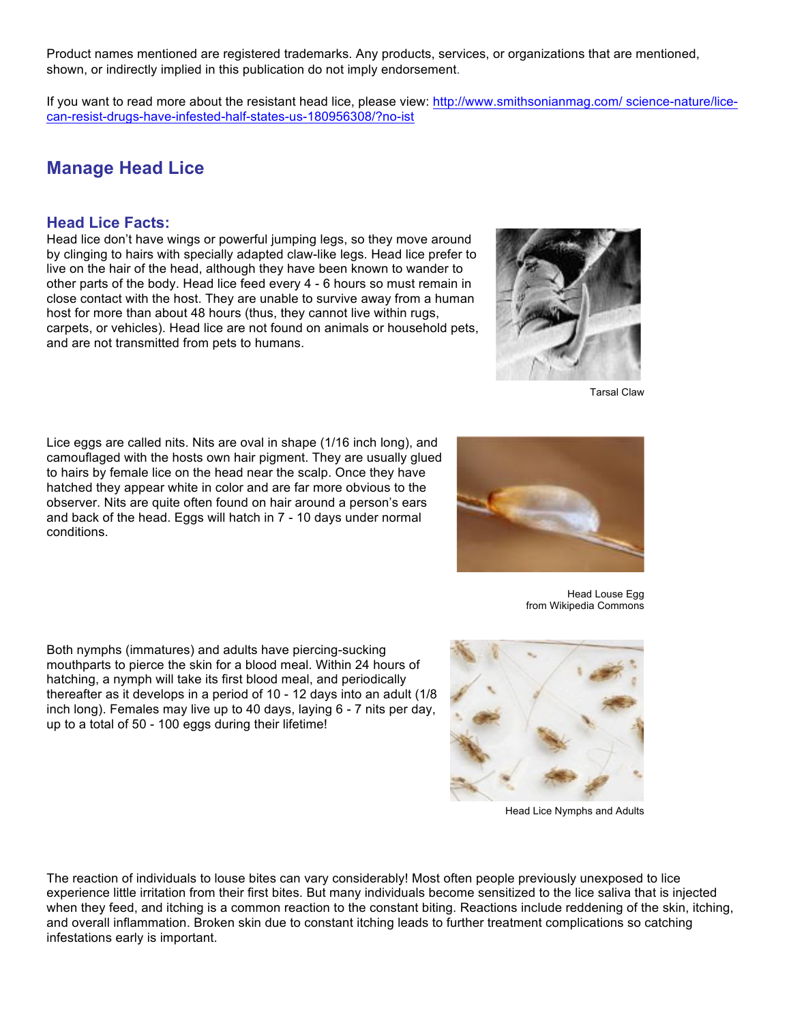Product names mentioned are registered trademarks. Any products, services, or organizations that are mentioned, shown, or indirectly implied in this publication do not imply endorsement.

If you want to read more about the resistant head lice, please view: http://www.smithsonianmag.com/ science-nature/licecan-resist-drugs-have-infested-half-states-us-180956308/?no-ist

## **Manage Head Lice**

### **Head Lice Facts:**





Tarsal Claw

Lice eggs are called nits. Nits are oval in shape (1/16 inch long), and camouflaged with the hosts own hair pigment. They are usually glued to hairs by female lice on the head near the scalp. Once they have hatched they appear white in color and are far more obvious to the observer. Nits are quite often found on hair around a person's ears and back of the head. Eggs will hatch in 7 - 10 days under normal conditions.

Head Louse Egg from Wikipedia Commons

Both nymphs (immatures) and adults have piercing-sucking mouthparts to pierce the skin for a blood meal. Within 24 hours of hatching, a nymph will take its first blood meal, and periodically thereafter as it develops in a period of 10 - 12 days into an adult (1/8 inch long). Females may live up to 40 days, laying 6 - 7 nits per day, up to a total of 50 - 100 eggs during their lifetime!



Head Lice Nymphs and Adults

The reaction of individuals to louse bites can vary considerably! Most often people previously unexposed to lice experience little irritation from their first bites. But many individuals become sensitized to the lice saliva that is injected when they feed, and itching is a common reaction to the constant biting. Reactions include reddening of the skin, itching, and overall inflammation. Broken skin due to constant itching leads to further treatment complications so catching infestations early is important.

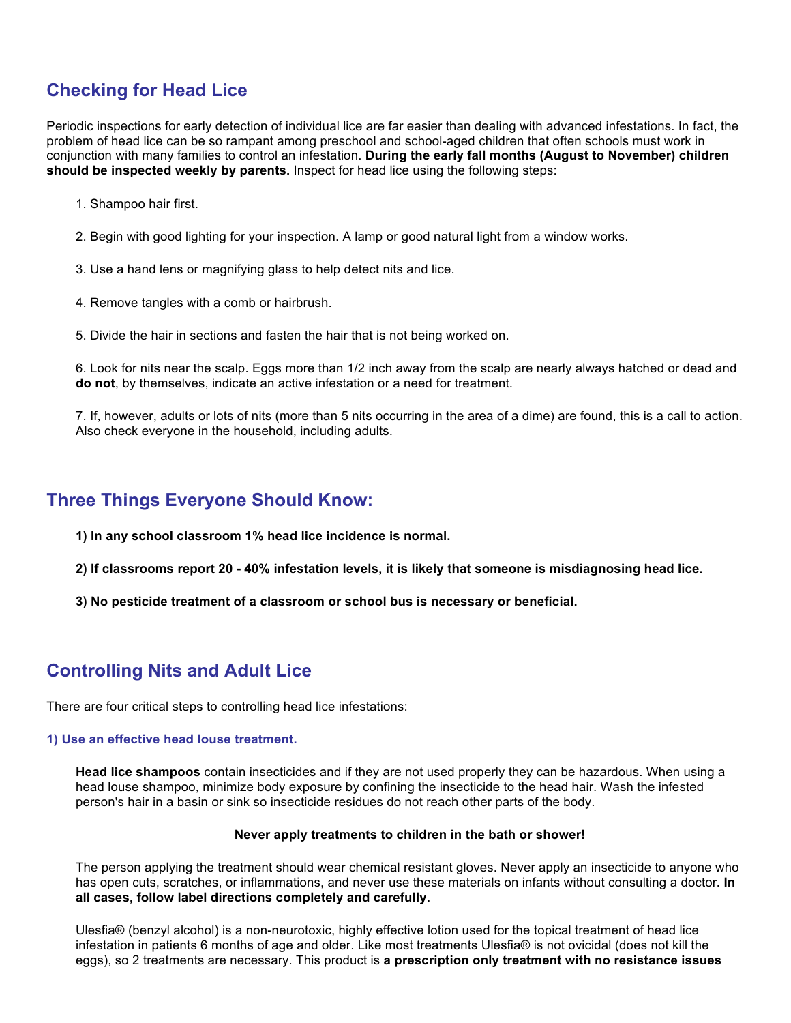# **Checking for Head Lice**

Periodic inspections for early detection of individual lice are far easier than dealing with advanced infestations. In fact, the problem of head lice can be so rampant among preschool and school-aged children that often schools must work in conjunction with many families to control an infestation. **During the early fall months (August to November) children should be inspected weekly by parents.** Inspect for head lice using the following steps:

- 1. Shampoo hair first.
- 2. Begin with good lighting for your inspection. A lamp or good natural light from a window works.
- 3. Use a hand lens or magnifying glass to help detect nits and lice.
- 4. Remove tangles with a comb or hairbrush.
- 5. Divide the hair in sections and fasten the hair that is not being worked on.

6. Look for nits near the scalp. Eggs more than 1/2 inch away from the scalp are nearly always hatched or dead and **do not**, by themselves, indicate an active infestation or a need for treatment.

7. If, however, adults or lots of nits (more than 5 nits occurring in the area of a dime) are found, this is a call to action. Also check everyone in the household, including adults.

### **Three Things Everyone Should Know:**

- **1) In any school classroom 1% head lice incidence is normal.**
- **2) If classrooms report 20 - 40% infestation levels, it is likely that someone is misdiagnosing head lice.**
- **3) No pesticide treatment of a classroom or school bus is necessary or beneficial.**

### **Controlling Nits and Adult Lice**

There are four critical steps to controlling head lice infestations:

### **1) Use an effective head louse treatment.**

**Head lice shampoos** contain insecticides and if they are not used properly they can be hazardous. When using a head louse shampoo, minimize body exposure by confining the insecticide to the head hair. Wash the infested person's hair in a basin or sink so insecticide residues do not reach other parts of the body.

#### **Never apply treatments to children in the bath or shower!**

The person applying the treatment should wear chemical resistant gloves. Never apply an insecticide to anyone who has open cuts, scratches, or inflammations, and never use these materials on infants without consulting a doctor**. In all cases, follow label directions completely and carefully.**

Ulesfia® (benzyl alcohol) is a non-neurotoxic, highly effective lotion used for the topical treatment of head lice infestation in patients 6 months of age and older. Like most treatments Ulesfia® is not ovicidal (does not kill the eggs), so 2 treatments are necessary. This product is **a prescription only treatment with no resistance issues**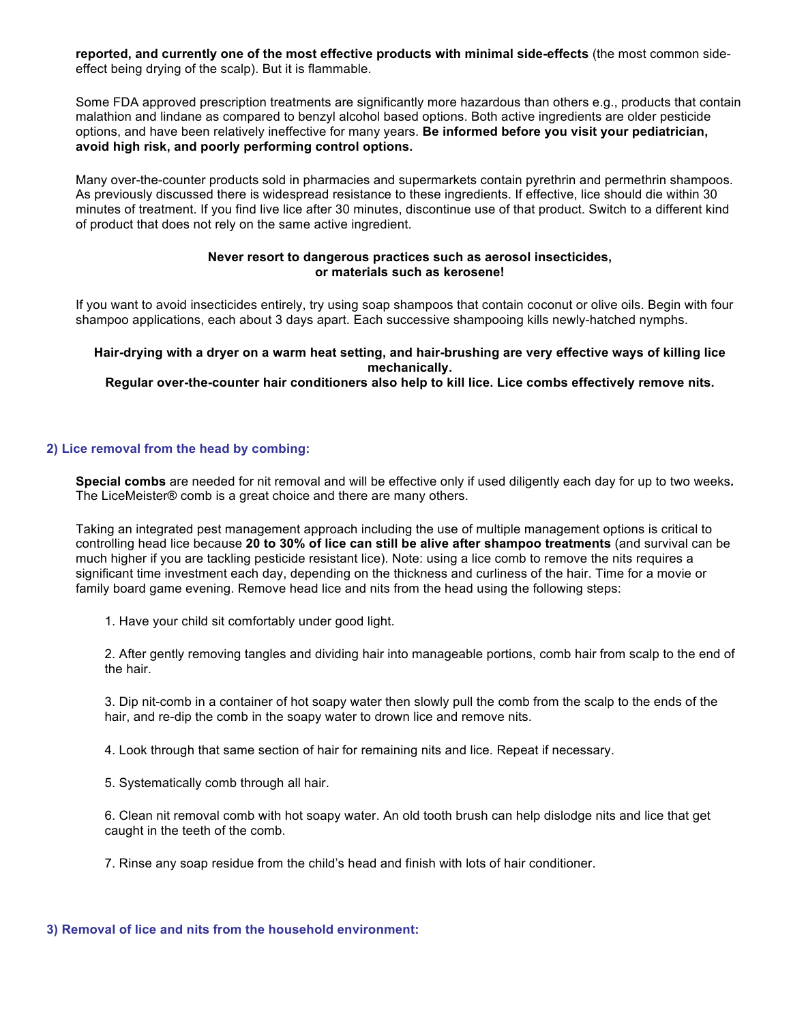**reported, and currently one of the most effective products with minimal side-effects** (the most common sideeffect being drying of the scalp). But it is flammable.

Some FDA approved prescription treatments are significantly more hazardous than others e.g., products that contain malathion and lindane as compared to benzyl alcohol based options. Both active ingredients are older pesticide options, and have been relatively ineffective for many years. **Be informed before you visit your pediatrician, avoid high risk, and poorly performing control options.**

Many over-the-counter products sold in pharmacies and supermarkets contain pyrethrin and permethrin shampoos. As previously discussed there is widespread resistance to these ingredients. If effective, lice should die within 30 minutes of treatment. If you find live lice after 30 minutes, discontinue use of that product. Switch to a different kind of product that does not rely on the same active ingredient.

#### **Never resort to dangerous practices such as aerosol insecticides, or materials such as kerosene!**

If you want to avoid insecticides entirely, try using soap shampoos that contain coconut or olive oils. Begin with four shampoo applications, each about 3 days apart. Each successive shampooing kills newly-hatched nymphs.

### **Hair-drying with a dryer on a warm heat setting, and hair-brushing are very effective ways of killing lice mechanically.**

**Regular over-the-counter hair conditioners also help to kill lice. Lice combs effectively remove nits.**

### **2) Lice removal from the head by combing:**

**Special combs** are needed for nit removal and will be effective only if used diligently each day for up to two weeks**.**  The LiceMeister® comb is a great choice and there are many others.

Taking an integrated pest management approach including the use of multiple management options is critical to controlling head lice because **20 to 30% of lice can still be alive after shampoo treatments** (and survival can be much higher if you are tackling pesticide resistant lice). Note: using a lice comb to remove the nits requires a significant time investment each day, depending on the thickness and curliness of the hair. Time for a movie or family board game evening. Remove head lice and nits from the head using the following steps:

1. Have your child sit comfortably under good light.

2. After gently removing tangles and dividing hair into manageable portions, comb hair from scalp to the end of the hair.

3. Dip nit-comb in a container of hot soapy water then slowly pull the comb from the scalp to the ends of the hair, and re-dip the comb in the soapy water to drown lice and remove nits.

4. Look through that same section of hair for remaining nits and lice. Repeat if necessary.

5. Systematically comb through all hair.

6. Clean nit removal comb with hot soapy water. An old tooth brush can help dislodge nits and lice that get caught in the teeth of the comb.

7. Rinse any soap residue from the child's head and finish with lots of hair conditioner.